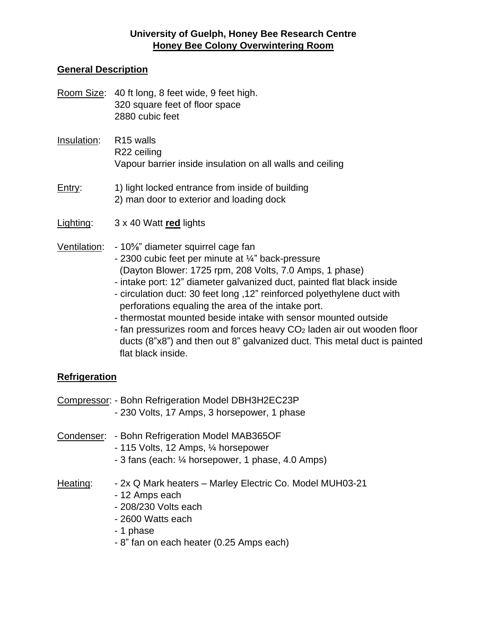### **University of Guelph, Honey Bee Research Centre Honey Bee Colony Overwintering Room**

#### **General Description**

- Room Size: 40 ft long, 8 feet wide, 9 feet high. 320 square feet of floor space 2880 cubic feet
- Insulation: R15 walls R22 ceiling Vapour barrier inside insulation on all walls and ceiling
- Entry: 1) light locked entrance from inside of building 2) man door to exterior and loading dock
- Lighting: 3 x 40 Watt **red** lights
- Ventilation: 10⅝" diameter squirrel cage fan
	- 2300 cubic feet per minute at ¼" back-pressure (Dayton Blower: 1725 rpm, 208 Volts, 7.0 Amps, 1 phase)
	- intake port: 12" diameter galvanized duct, painted flat black inside
	- circulation duct: 30 feet long ,12" reinforced polyethylene duct with perforations equaling the area of the intake port.
	- thermostat mounted beside intake with sensor mounted outside
	- fan pressurizes room and forces heavy CO<sup>2</sup> laden air out wooden floor ducts (8"x8") and then out 8" galvanized duct. This metal duct is painted flat black inside.

### **Refrigeration**

|          | Compressor: - Bohn Refrigeration Model DBH3H2EC23P<br>- 230 Volts, 17 Amps, 3 horsepower, 1 phase                                                                                |
|----------|----------------------------------------------------------------------------------------------------------------------------------------------------------------------------------|
|          | Condenser: - Bohn Refrigeration Model MAB365OF<br>- 115 Volts, 12 Amps, 1/4 horsepower<br>- 3 fans (each: 1/4 horsepower, 1 phase, 4.0 Amps)                                     |
| Heating: | - 2x Q Mark heaters - Marley Electric Co. Model MUH03-21<br>- 12 Amps each<br>- 208/230 Volts each<br>- 2600 Watts each<br>- 1 phase<br>- 8" fan on each heater (0.25 Amps each) |